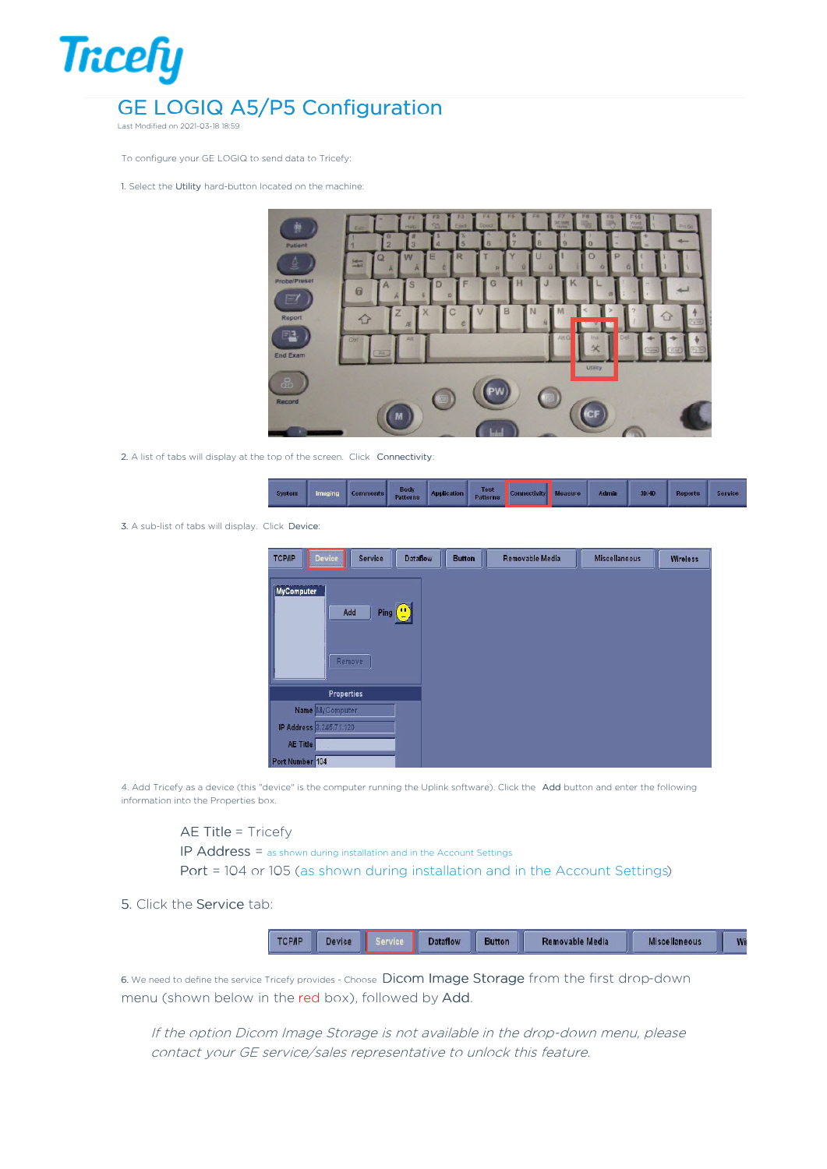

Last Modified on 2021-03-18 18:59

To configure your GE LOGIQ to send data to Tricefy:

1. Select the Utility hard-button located on the machine:



2. A list of tabs will display at the top of the screen. Click Connectivity:

|  |  |  |  |  |  | System Imaging Comments Body Application Test Connectivity Measure Admin 3040   1 |  |  |  | Reports | Service |
|--|--|--|--|--|--|-----------------------------------------------------------------------------------|--|--|--|---------|---------|
|--|--|--|--|--|--|-----------------------------------------------------------------------------------|--|--|--|---------|---------|

3. A sub-list of tabs will display. Click Device:

| Device<br><b>Dataflow</b><br>Service<br><b>TCP/IP</b> | <b>Button</b> | Removable Media | <b>Miscellaneous</b> | Wireless |
|-------------------------------------------------------|---------------|-----------------|----------------------|----------|
| MyComputer<br>Ping (")<br>Add<br>Remove.              |               |                 |                      |          |
| <b>Properties</b>                                     |               |                 |                      |          |
| Name MyComputer                                       |               |                 |                      |          |
| IP Address 3.245.71.120                               |               |                 |                      |          |
| AE Title                                              |               |                 |                      |          |
| Port Number 104                                       |               |                 |                      |          |

4. Add Tricefy as a device (this "device" is the computer running the Uplink software). Click the Add button and enter the following information into the Properties box.

## AE Title = Tricefy

IP Address = as shown during installation and in the Account Settings

Port = 104 or 105 (as shown during installation and in the Account Settings)

## 5. Click the Service tab:

| <b>CPIP</b> | Device | <b>Dataflow</b> | Removable Media | Miscellaneous | Wi |
|-------------|--------|-----------------|-----------------|---------------|----|

6. We need to define the service Tricefy provides - Choose Dicom Image Storage from the first drop-down menu (shown below in the red box), followed by Add.

If the option Dicom Image Storage is not available in the drop-down menu, please contact your GE service/sales representative to unlock this feature.